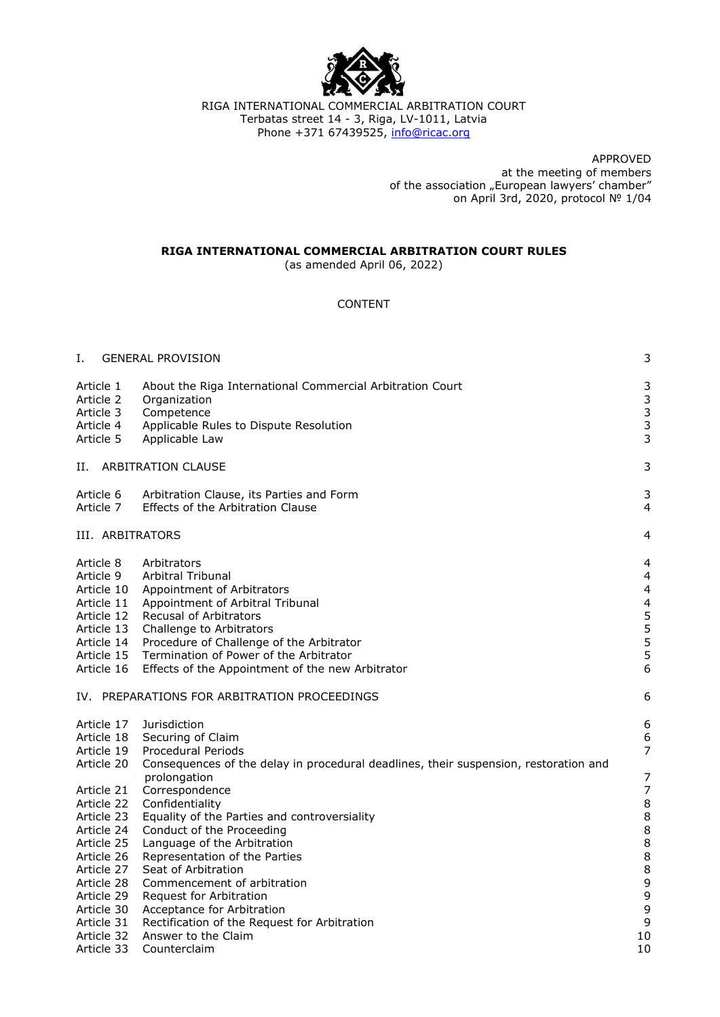

RIGA INTERNATIONAL COMMERCIAL ARBITRATION COURT Terbatas street 14 - 3, Riga, LV-1011, Latvia Phone +371 67439525, [info@ricac.org](mailto:info@ricac.org)

> APPROVED at the meeting of members of the association "European lawyers' chamber" on April 3rd, 2020, protocol № 1/04

### **RIGA INTERNATIONAL COMMERCIAL ARBITRATION COURT RULES**

(as amended April 06, 2022)

# CONTENT

| Ι.                                                                                                                                                                                               | <b>GENERAL PROVISION</b>                                                                                                                                                                                                                                                                                                                                                                                                                                                                     | 3                                                                                                        |
|--------------------------------------------------------------------------------------------------------------------------------------------------------------------------------------------------|----------------------------------------------------------------------------------------------------------------------------------------------------------------------------------------------------------------------------------------------------------------------------------------------------------------------------------------------------------------------------------------------------------------------------------------------------------------------------------------------|----------------------------------------------------------------------------------------------------------|
| Article 1<br>Article 2<br>Article 3<br>Article 4<br>Article 5                                                                                                                                    | About the Riga International Commercial Arbitration Court<br>Organization<br>Competence<br>Applicable Rules to Dispute Resolution<br>Applicable Law                                                                                                                                                                                                                                                                                                                                          | 3<br>3<br>3<br>$\mathsf{3}$<br>3                                                                         |
| Н.                                                                                                                                                                                               | ARBITRATION CLAUSE                                                                                                                                                                                                                                                                                                                                                                                                                                                                           | 3                                                                                                        |
| Article 6<br>Article 7                                                                                                                                                                           | Arbitration Clause, its Parties and Form<br>Effects of the Arbitration Clause                                                                                                                                                                                                                                                                                                                                                                                                                | 3<br>$\overline{4}$                                                                                      |
| III. ARBITRATORS                                                                                                                                                                                 |                                                                                                                                                                                                                                                                                                                                                                                                                                                                                              | 4                                                                                                        |
| Article 8<br>Article 9<br>Article 10<br>Article 11<br>Article 12<br>Article 13<br>Article 14<br>Article 15<br>Article 16                                                                         | Arbitrators<br>Arbitral Tribunal<br>Appointment of Arbitrators<br>Appointment of Arbitral Tribunal<br><b>Recusal of Arbitrators</b><br>Challenge to Arbitrators<br>Procedure of Challenge of the Arbitrator<br>Termination of Power of the Arbitrator<br>Effects of the Appointment of the new Arbitrator                                                                                                                                                                                    | 4<br>4<br>$\overline{4}$<br>$\overline{\mathbf{4}}$<br>5<br>5<br>5<br>5<br>6                             |
| IV. PREPARATIONS FOR ARBITRATION PROCEEDINGS                                                                                                                                                     |                                                                                                                                                                                                                                                                                                                                                                                                                                                                                              |                                                                                                          |
| Article 17<br>Article 18<br>Article 19                                                                                                                                                           | <b>Jurisdiction</b><br>Securing of Claim<br>Procedural Periods                                                                                                                                                                                                                                                                                                                                                                                                                               | 6<br>6<br>$\overline{7}$                                                                                 |
| Article 20<br>Article 21<br>Article 22<br>Article 23<br>Article 24<br>Article 25<br>Article 26<br>Article 27<br>Article 28<br>Article 29<br>Article 30<br>Article 31<br>Article 32<br>Article 33 | Consequences of the delay in procedural deadlines, their suspension, restoration and<br>prolongation<br>Correspondence<br>Confidentiality<br>Equality of the Parties and controversiality<br>Conduct of the Proceeding<br>Language of the Arbitration<br>Representation of the Parties<br>Seat of Arbitration<br>Commencement of arbitration<br>Request for Arbitration<br>Acceptance for Arbitration<br>Rectification of the Request for Arbitration<br>Answer to the Claim<br>Counterclaim | $\overline{7}$<br>$\overline{7}$<br>8<br>8<br>8<br>8<br>8<br>8<br>9<br>9<br>$\mathsf 9$<br>9<br>10<br>10 |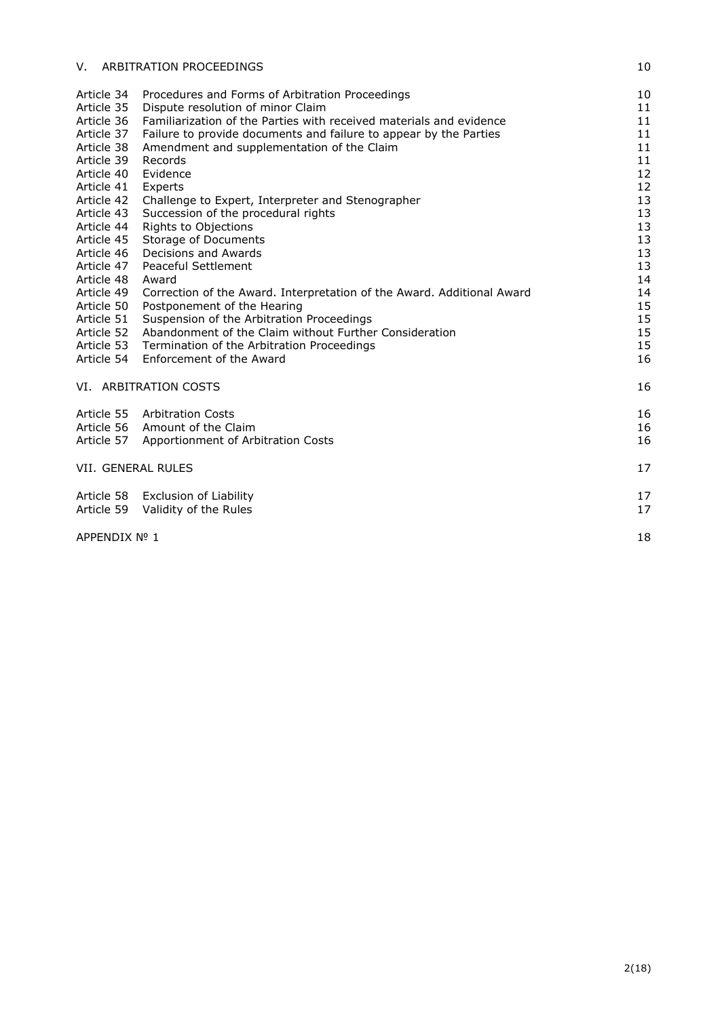| V.                       | ARBITRATION PROCEEDINGS                                                | 10       |
|--------------------------|------------------------------------------------------------------------|----------|
| Article 34               | Procedures and Forms of Arbitration Proceedings                        | 10       |
| Article 35               | Dispute resolution of minor Claim                                      | 11       |
| Article 36               | Familiarization of the Parties with received materials and evidence    | 11       |
| Article 37               | Failure to provide documents and failure to appear by the Parties      | 11       |
| Article 38               | Amendment and supplementation of the Claim                             | 11       |
| Article 39               | Records                                                                | 11       |
| Article 40               | Evidence                                                               | 12       |
| Article 41               | Experts                                                                | 12       |
| Article 42               | Challenge to Expert, Interpreter and Stenographer                      | 13       |
| Article 43               | Succession of the procedural rights                                    | 13       |
| Article 44               | Rights to Objections                                                   | 13       |
| Article 45               | Storage of Documents                                                   | 13       |
| Article 46<br>Article 47 | Decisions and Awards<br>Peaceful Settlement                            | 13<br>13 |
| Article 48               | Award                                                                  | 14       |
| Article 49               | Correction of the Award. Interpretation of the Award. Additional Award | 14       |
| Article 50               | Postponement of the Hearing                                            | 15       |
| Article 51               | Suspension of the Arbitration Proceedings                              | 15       |
| Article 52               | Abandonment of the Claim without Further Consideration                 | 15       |
| Article 53               | Termination of the Arbitration Proceedings                             | 15       |
| Article 54               | Enforcement of the Award                                               | 16       |
|                          |                                                                        |          |
|                          | VI. ARBITRATION COSTS                                                  | 16       |
| Article 55               | <b>Arbitration Costs</b>                                               | 16       |
|                          | Article 56 Amount of the Claim                                         | 16       |
| Article 57               | Apportionment of Arbitration Costs                                     | 16       |
| VII. GENERAL RULES       |                                                                        | 17       |
|                          | Article 58 Exclusion of Liability                                      | 17       |
|                          | Article 59 Validity of the Rules                                       | 17       |
| APPENDIX Nº 1            |                                                                        | 18       |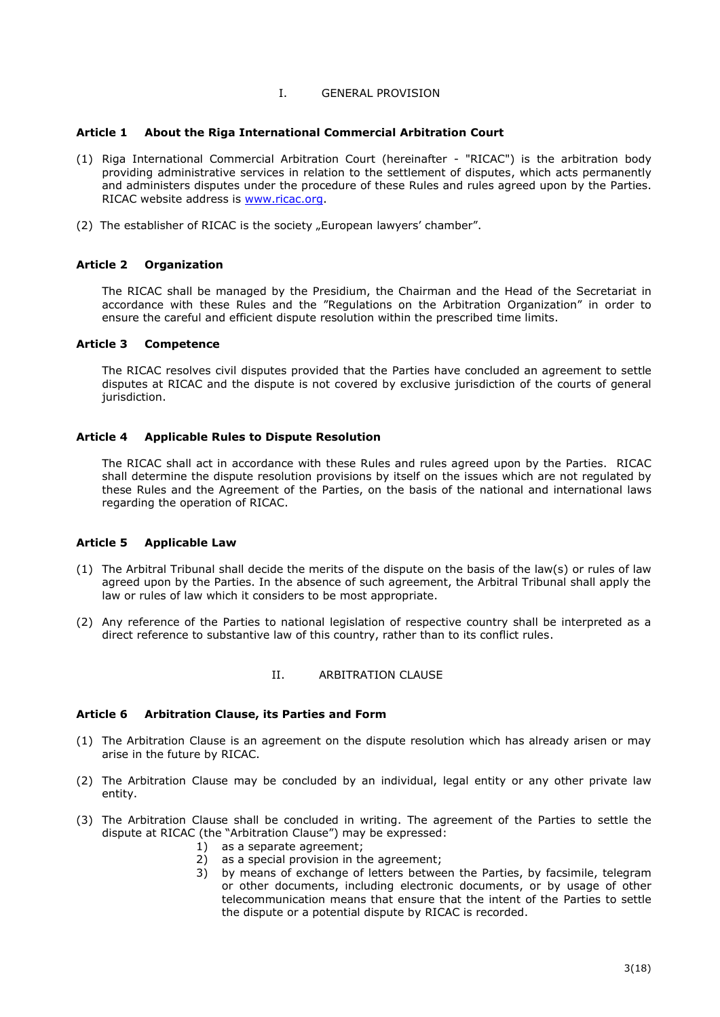#### I. GENERAL PROVISION

#### <span id="page-2-1"></span><span id="page-2-0"></span>**Article 1 About the Riga International Commercial Arbitration Court**

- (1) Riga International Commercial Arbitration Court (hereinafter "RICAC") is the arbitration body providing administrative services in relation to the settlement of disputes, which acts permanently and administers disputes under the procedure of these Rules and rules agreed upon by the Parties. RICAC website address is [www.ricac.org.](http://www.ricac.org/)
- (2) The establisher of RICAC is the society "European lawyers' chamber".

### <span id="page-2-2"></span>**Article 2 Organization**

The RICAC shall be managed by the Presidium, the Chairman and the Head of the Secretariat in accordance with these Rules and the "Regulations on the Arbitration Organization" in order to ensure the careful and efficient dispute resolution within the prescribed time limits.

#### <span id="page-2-3"></span>**Article 3 Competence**

The RICAC resolves civil disputes provided that the Parties have concluded an agreement to settle disputes at RICAC and the dispute is not covered by exclusive jurisdiction of the courts of general jurisdiction.

#### <span id="page-2-4"></span>**Article 4 Applicable Rules to Dispute Resolution**

The RICAC shall act in accordance with these Rules and rules agreed upon by the Parties. RICAC shall determine the dispute resolution provisions by itself on the issues which are not regulated by these Rules and the Agreement of the Parties, on the basis of the national and international laws regarding the operation of RICAC.

### <span id="page-2-5"></span>**Article 5 Applicable Law**

- (1) The Arbitral Tribunal shall decide the merits of the dispute on the basis of the law(s) or rules of law agreed upon by the Parties. In the absence of such agreement, the Arbitral Tribunal shall apply the law or rules of law which it considers to be most appropriate.
- (2) Any reference of the Parties to national legislation of respective country shall be interpreted as a direct reference to substantive law of this country, rather than to its conflict rules.

### II. ARBITRATION CLAUSE

### <span id="page-2-7"></span><span id="page-2-6"></span>**Article 6 Arbitration Clause, its Parties and Form**

- (1) The Arbitration Clause is an agreement on the dispute resolution which has already arisen or may arise in the future by RICAC.
- (2) The Arbitration Clause may be concluded by an individual, legal entity or any other private law entity.
- (3) The Arbitration Clause shall be concluded in writing. The agreement of the Parties to settle the dispute at RICAC (the "Arbitration Clause") may be expressed:
	- 1) as a separate agreement;
	- 2) as a special provision in the agreement;
	- 3) by means of exchange of letters between the Parties, by facsimile, telegram or other documents, including electronic documents, or by usage of other telecommunication means that ensure that the intent of the Parties to settle the dispute or a potential dispute by RICAC is recorded.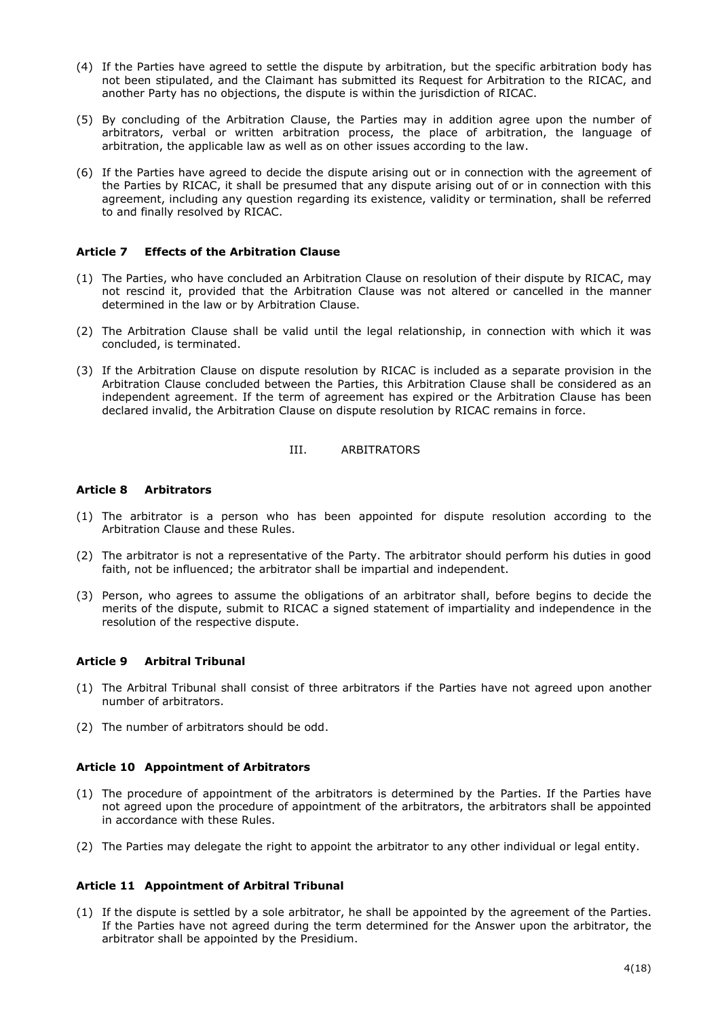- (4) If the Parties have agreed to settle the dispute by arbitration, but the specific arbitration body has not been stipulated, and the Claimant has submitted its Request for Arbitration to the RICAC, and another Party has no objections, the dispute is within the jurisdiction of RICAC.
- (5) By concluding of the Arbitration Clause, the Parties may in addition agree upon the number of arbitrators, verbal or written arbitration process, the place of arbitration, the language of arbitration, the applicable law as well as on other issues according to the law.
- (6) If the Parties have agreed to decide the dispute arising out or in connection with the agreement of the Parties by RICAC, it shall be presumed that any dispute arising out of or in connection with this agreement, including any question regarding its existence, validity or termination, shall be referred to and finally resolved by RICAC.

## <span id="page-3-0"></span>**Article 7 Effects of the Arbitration Clause**

- (1) The Parties, who have concluded an Arbitration Clause on resolution of their dispute by RICAC, may not rescind it, provided that the Arbitration Clause was not altered or cancelled in the manner determined in the law or by Arbitration Clause.
- (2) The Arbitration Clause shall be valid until the legal relationship, in connection with which it was concluded, is terminated.
- (3) If the Arbitration Clause on dispute resolution by RICAC is included as a separate provision in the Arbitration Clause concluded between the Parties, this Arbitration Clause shall be considered as an independent agreement. If the term of agreement has expired or the Arbitration Clause has been declared invalid, the Arbitration Clause on dispute resolution by RICAC remains in force.

### III. ARBITRATORS

### <span id="page-3-2"></span><span id="page-3-1"></span>**Article 8 Arbitrators**

- (1) The arbitrator is a person who has been appointed for dispute resolution according to the Arbitration Clause and these Rules.
- (2) The arbitrator is not a representative of the Party. The arbitrator should perform his duties in good faith, not be influenced; the arbitrator shall be impartial and independent.
- (3) Person, who agrees to assume the obligations of an arbitrator shall, before begins to decide the merits of the dispute, submit to RICAC a signed statement of impartiality and independence in the resolution of the respective dispute.

### <span id="page-3-3"></span>**Article 9 Arbitral Tribunal**

- (1) The Arbitral Tribunal shall consist of three arbitrators if the Parties have not agreed upon another number of arbitrators.
- (2) The number of arbitrators should be odd.

# <span id="page-3-4"></span>**Article 10 Appointment of Arbitrators**

- (1) The procedure of appointment of the arbitrators is determined by the Parties. If the Parties have not agreed upon the procedure of appointment of the arbitrators, the arbitrators shall be appointed in accordance with these Rules.
- (2) The Parties may delegate the right to appoint the arbitrator to any other individual or legal entity.

# <span id="page-3-5"></span>**Article 11 Appointment of Arbitral Tribunal**

(1) If the dispute is settled by a sole arbitrator, he shall be appointed by the agreement of the Parties. If the Parties have not agreed during the term determined for the Answer upon the arbitrator, the arbitrator shall be appointed by the Presidium.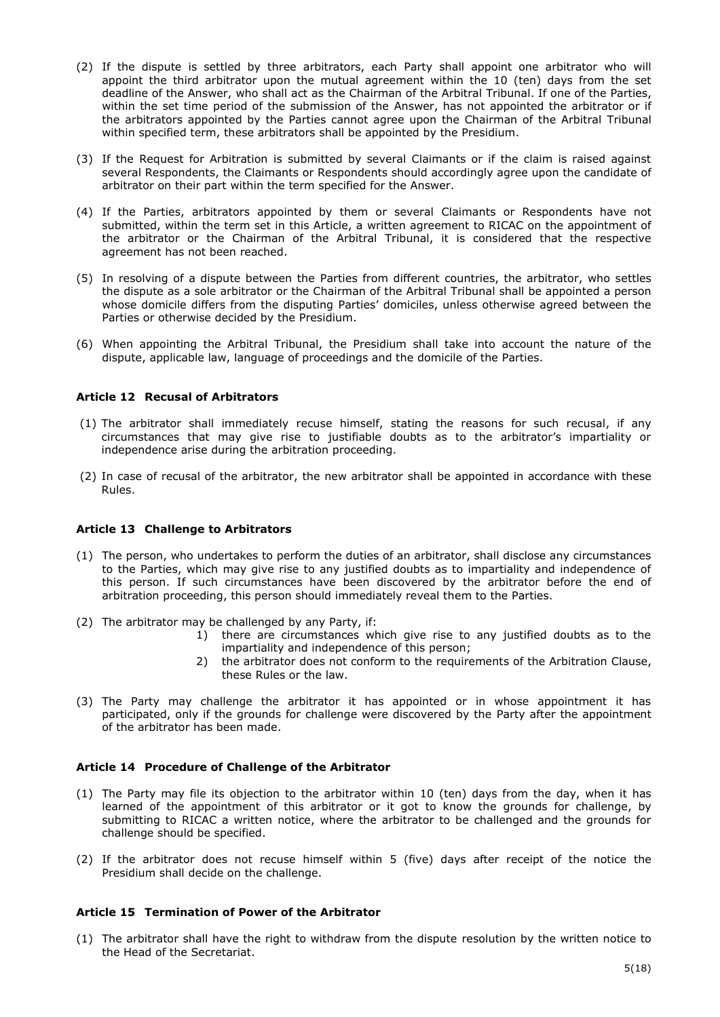- (2) If the dispute is settled by three arbitrators, each Party shall appoint one arbitrator who will appoint the third arbitrator upon the mutual agreement within the 10 (ten) days from the set deadline of the Answer, who shall act as the Chairman of the Arbitral Tribunal. If one of the Parties, within the set time period of the submission of the Answer, has not appointed the arbitrator or if the arbitrators appointed by the Parties cannot agree upon the Chairman of the Arbitral Tribunal within specified term, these arbitrators shall be appointed by the Presidium.
- (3) If the Request for Arbitration is submitted by several Claimants or if the claim is raised against several Respondents, the Claimants or Respondents should accordingly agree upon the candidate of arbitrator on their part within the term specified for the Answer.
- (4) If the Parties, arbitrators appointed by them or several Claimants or Respondents have not submitted, within the term set in this Article, a written agreement to RICAC on the appointment of the arbitrator or the Chairman of the Arbitral Tribunal, it is considered that the respective agreement has not been reached.
- (5) In resolving of a dispute between the Parties from different countries, the arbitrator, who settles the dispute as a sole arbitrator or the Chairman of the Arbitral Tribunal shall be appointed a person whose domicile differs from the disputing Parties' domiciles, unless otherwise agreed between the Parties or otherwise decided by the Presidium.
- (6) When appointing the Arbitral Tribunal, the Presidium shall take into account the nature of the dispute, applicable law, language of proceedings and the domicile of the Parties.

## <span id="page-4-0"></span>**Article 12 Recusal of Arbitrators**

- (1) The arbitrator shall immediately recuse himself, stating the reasons for such recusal, if any circumstances that may give rise to justifiable doubts as to the arbitrator's impartiality or independence arise during the arbitration proceeding.
- (2) In case of recusal of the arbitrator, the new arbitrator shall be appointed in accordance with these Rules.

### <span id="page-4-1"></span>**Article 13 Challenge to Arbitrators**

- (1) The person, who undertakes to perform the duties of an arbitrator, shall disclose any circumstances to the Parties, which may give rise to any justified doubts as to impartiality and independence of this person. If such circumstances have been discovered by the arbitrator before the end of arbitration proceeding, this person should immediately reveal them to the Parties.
- (2) The arbitrator may be challenged by any Party, if:
	- 1) there are circumstances which give rise to any justified doubts as to the impartiality and independence of this person;
	- 2) the arbitrator does not conform to the requirements of the Arbitration Clause, these Rules or the law.
- (3) The Party may challenge the arbitrator it has appointed or in whose appointment it has participated, only if the grounds for challenge were discovered by the Party after the appointment of the arbitrator has been made.

### <span id="page-4-2"></span>**Article 14 Procedure of Challenge of the Arbitrator**

- (1) The Party may file its objection to the arbitrator within 10 (ten) days from the day, when it has learned of the appointment of this arbitrator or it got to know the grounds for challenge, by submitting to RICAC a written notice, where the arbitrator to be challenged and the grounds for challenge should be specified.
- (2) If the arbitrator does not recuse himself within 5 (five) days after receipt of the notice the Presidium shall decide on the challenge.

### <span id="page-4-3"></span>**Article 15 Termination of Power of the Arbitrator**

(1) The arbitrator shall have the right to withdraw from the dispute resolution by the written notice to the Head of the Secretariat.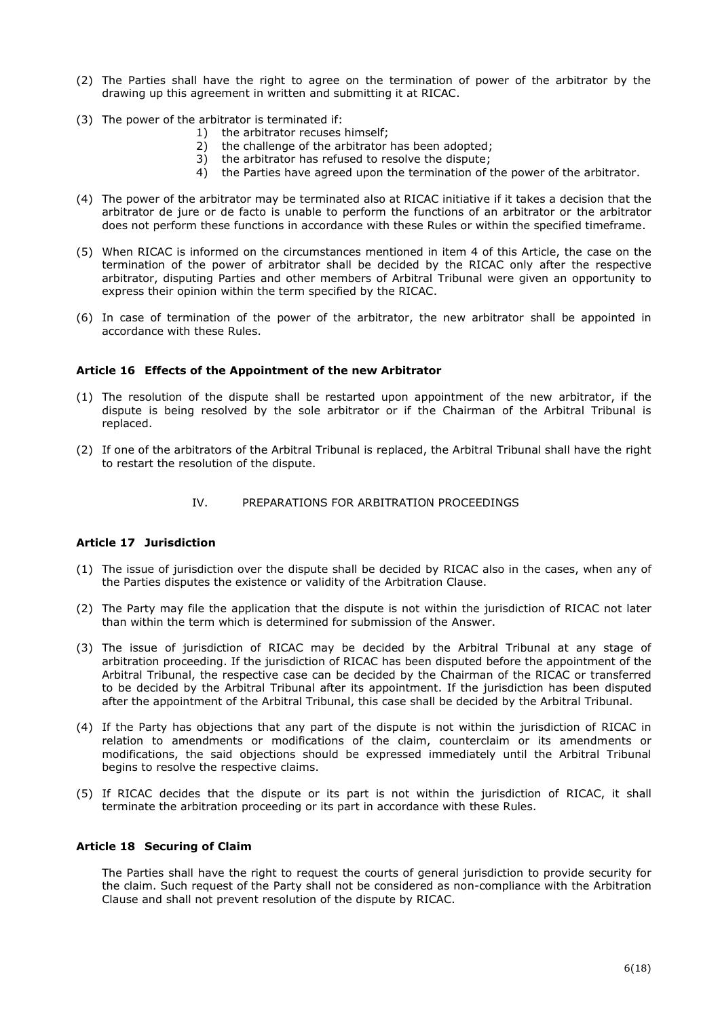- (2) The Parties shall have the right to agree on the termination of power of the arbitrator by the drawing up this agreement in written and submitting it at RICAC.
- (3) The power of the arbitrator is terminated if:
	- 1) the arbitrator recuses himself;
	- 2) the challenge of the arbitrator has been adopted;
	- 3) the arbitrator has refused to resolve the dispute;
	- 4) the Parties have agreed upon the termination of the power of the arbitrator.
- (4) The power of the arbitrator may be terminated also at RICAC initiative if it takes a decision that the arbitrator de jure or de facto is unable to perform the functions of an arbitrator or the arbitrator does not perform these functions in accordance with these Rules or within the specified timeframe.
- (5) When RICAC is informed on the circumstances mentioned in item 4 of this Article, the case on the termination of the power of arbitrator shall be decided by the RICAC only after the respective arbitrator, disputing Parties and other members of Arbitral Tribunal were given an opportunity to express their opinion within the term specified by the RICAC.
- (6) In case of termination of the power of the arbitrator, the new arbitrator shall be appointed in accordance with these Rules.

## <span id="page-5-0"></span>**Article 16 Effects of the Appointment of the new Arbitrator**

- (1) The resolution of the dispute shall be restarted upon appointment of the new arbitrator, if the dispute is being resolved by the sole arbitrator or if the Chairman of the Arbitral Tribunal is replaced.
- (2) If one of the arbitrators of the Arbitral Tribunal is replaced, the Arbitral Tribunal shall have the right to restart the resolution of the dispute.

#### IV. PREPARATIONS FOR ARBITRATION PROCEEDINGS

#### <span id="page-5-2"></span><span id="page-5-1"></span>**Article 17 Jurisdiction**

- (1) The issue of jurisdiction over the dispute shall be decided by RICAC also in the cases, when any of the Parties disputes the existence or validity of the Arbitration Clause.
- (2) The Party may file the application that the dispute is not within the jurisdiction of RICAC not later than within the term which is determined for submission of the Answer.
- (3) The issue of jurisdiction of RICAC may be decided by the Arbitral Tribunal at any stage of arbitration proceeding. If the jurisdiction of RICAC has been disputed before the appointment of the Arbitral Tribunal, the respective case can be decided by the Chairman of the RICAC or transferred to be decided by the Arbitral Tribunal after its appointment. If the jurisdiction has been disputed after the appointment of the Arbitral Tribunal, this case shall be decided by the Arbitral Tribunal.
- (4) If the Party has objections that any part of the dispute is not within the jurisdiction of RICAC in relation to amendments or modifications of the claim, counterclaim or its amendments or modifications, the said objections should be expressed immediately until the Arbitral Tribunal begins to resolve the respective claims.
- (5) If RICAC decides that the dispute or its part is not within the jurisdiction of RICAC, it shall terminate the arbitration proceeding or its part in accordance with these Rules.

#### <span id="page-5-3"></span>**Article 18 Securing of Claim**

The Parties shall have the right to request the courts of general jurisdiction to provide security for the claim. Such request of the Party shall not be considered as non-compliance with the Arbitration Clause and shall not prevent resolution of the dispute by RICAC.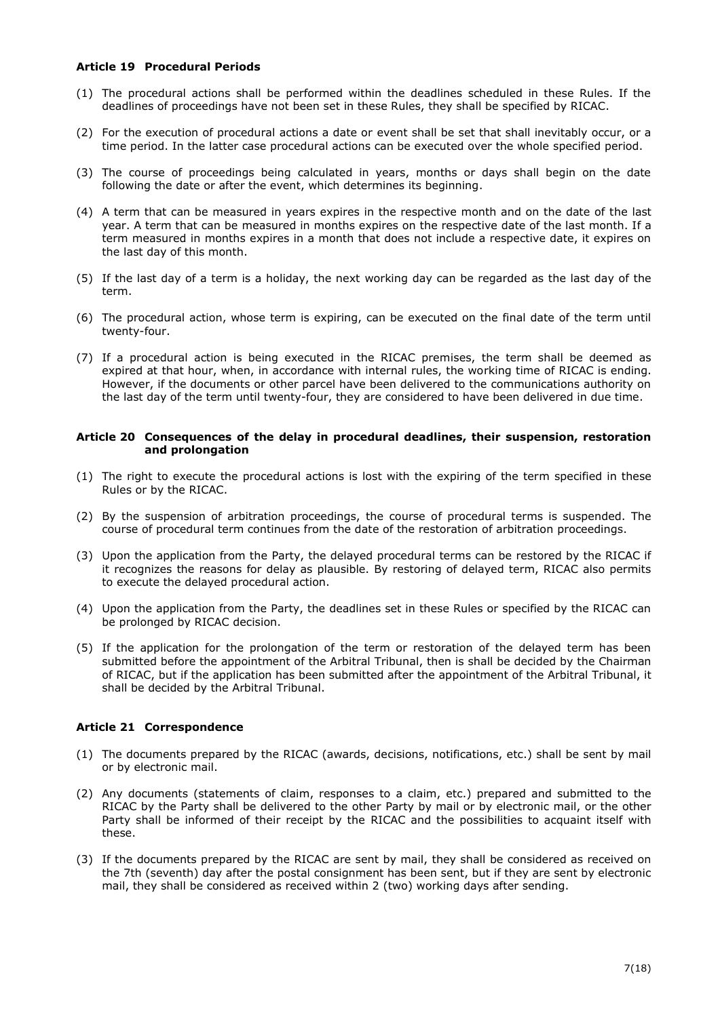## <span id="page-6-0"></span>**Article 19 Procedural Periods**

- (1) The procedural actions shall be performed within the deadlines scheduled in these Rules. If the deadlines of proceedings have not been set in these Rules, they shall be specified by RICAC.
- (2) For the execution of procedural actions a date or event shall be set that shall inevitably occur, or a time period. In the latter case procedural actions can be executed over the whole specified period.
- (3) The course of proceedings being calculated in years, months or days shall begin on the date following the date or after the event, which determines its beginning.
- (4) A term that can be measured in years expires in the respective month and on the date of the last year. A term that can be measured in months expires on the respective date of the last month. If a term measured in months expires in a month that does not include a respective date, it expires on the last day of this month.
- (5) If the last day of a term is a holiday, the next working day can be regarded as the last day of the term.
- (6) The procedural action, whose term is expiring, can be executed on the final date of the term until twenty-four.
- (7) If a procedural action is being executed in the RICAC premises, the term shall be deemed as expired at that hour, when, in accordance with internal rules, the working time of RICAC is ending. However, if the documents or other parcel have been delivered to the communications authority on the last day of the term until twenty-four, they are considered to have been delivered in due time.

#### <span id="page-6-1"></span>**Article 20 Consequences of the delay in procedural deadlines, their suspension, restoration and prolongation**

- (1) The right to execute the procedural actions is lost with the expiring of the term specified in these Rules or by the RICAC.
- (2) By the suspension of arbitration proceedings, the course of procedural terms is suspended. The course of procedural term continues from the date of the restoration of arbitration proceedings.
- (3) Upon the application from the Party, the delayed procedural terms can be restored by the RICAC if it recognizes the reasons for delay as plausible. By restoring of delayed term, RICAC also permits to execute the delayed procedural action.
- (4) Upon the application from the Party, the deadlines set in these Rules or specified by the RICAC can be prolonged by RICAC decision.
- (5) If the application for the prolongation of the term or restoration of the delayed term has been submitted before the appointment of the Arbitral Tribunal, then is shall be decided by the Chairman of RICAC, but if the application has been submitted after the appointment of the Arbitral Tribunal, it shall be decided by the Arbitral Tribunal.

# <span id="page-6-2"></span>**Article 21 Correspondence**

- (1) The documents prepared by the RICAC (awards, decisions, notifications, etc.) shall be sent by mail or by electronic mail.
- (2) Any documents (statements of claim, responses to a claim, etc.) prepared and submitted to the RICAC by the Party shall be delivered to the other Party by mail or by electronic mail, or the other Party shall be informed of their receipt by the RICAC and the possibilities to acquaint itself with these.
- (3) If the documents prepared by the RICAC are sent by mail, they shall be considered as received on the 7th (seventh) day after the postal consignment has been sent, but if they are sent by electronic mail, they shall be considered as received within 2 (two) working days after sending.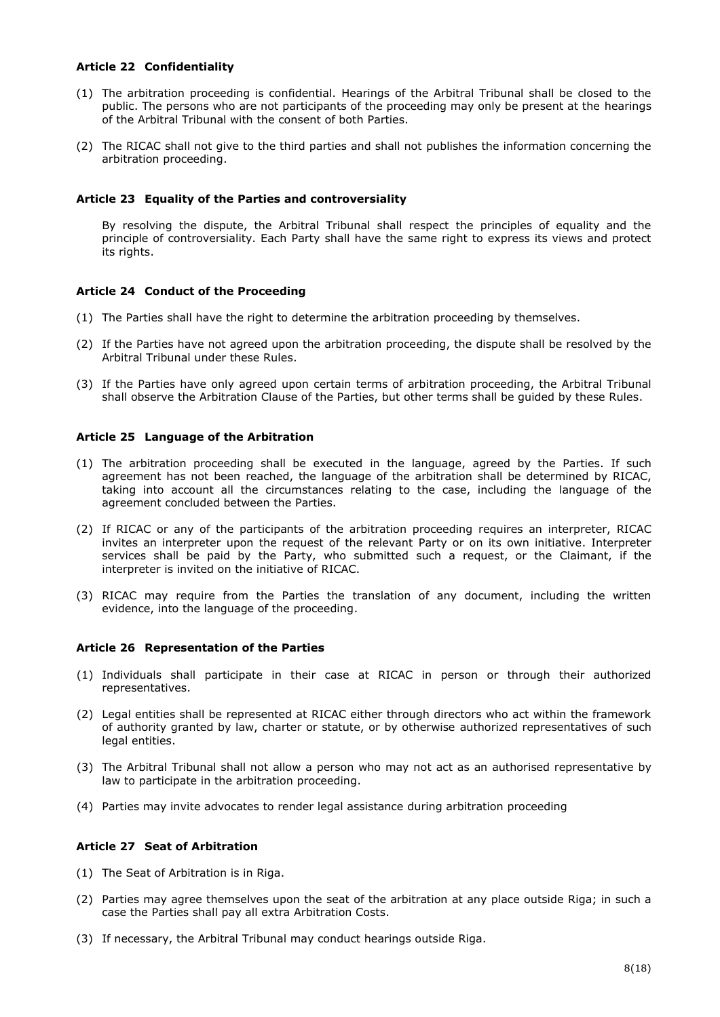### <span id="page-7-0"></span>**Article 22 Confidentiality**

- (1) The arbitration proceeding is confidential. Hearings of the Arbitral Tribunal shall be closed to the public. The persons who are not participants of the proceeding may only be present at the hearings of the Arbitral Tribunal with the consent of both Parties.
- (2) The RICAC shall not give to the third parties and shall not publishes the information concerning the arbitration proceeding.

## <span id="page-7-1"></span>**Article 23 Equality of the Parties and controversiality**

By resolving the dispute, the Arbitral Tribunal shall respect the principles of equality and the principle of controversiality. Each Party shall have the same right to express its views and protect its rights.

## <span id="page-7-2"></span>**Article 24 Conduct of the Proceeding**

- (1) The Parties shall have the right to determine the arbitration proceeding by themselves.
- (2) If the Parties have not agreed upon the arbitration proceeding, the dispute shall be resolved by the Arbitral Tribunal under these Rules.
- (3) If the Parties have only agreed upon certain terms of arbitration proceeding, the Arbitral Tribunal shall observe the Arbitration Clause of the Parties, but other terms shall be guided by these Rules.

## <span id="page-7-3"></span>**Article 25 Language of the Arbitration**

- (1) The arbitration proceeding shall be executed in the language, agreed by the Parties. If such agreement has not been reached, the language of the arbitration shall be determined by RICAC, taking into account all the circumstances relating to the case, including the language of the agreement concluded between the Parties.
- (2) If RICAC or any of the participants of the arbitration proceeding requires an interpreter, RICAC invites an interpreter upon the request of the relevant Party or on its own initiative. Interpreter services shall be paid by the Party, who submitted such a request, or the Claimant, if the interpreter is invited on the initiative of RICAC.
- (3) RICAC may require from the Parties the translation of any document, including the written evidence, into the language of the proceeding.

### <span id="page-7-4"></span>**Article 26 Representation of the Parties**

- (1) Individuals shall participate in their case at RICAC in person or through their authorized representatives.
- (2) Legal entities shall be represented at RICAC either through directors who act within the framework of authority granted by law, charter or statute, or by otherwise authorized representatives of such legal entities.
- (3) The Arbitral Tribunal shall not allow a person who may not act as an authorised representative by law to participate in the arbitration proceeding.
- (4) Parties may invite advocates to render legal assistance during arbitration proceeding

# <span id="page-7-5"></span>**Article 27 Seat of Arbitration**

- (1) The Seat of Arbitration is in Riga.
- (2) Parties may agree themselves upon the seat of the arbitration at any place outside Riga; in such a case the Parties shall pay all extra Arbitration Costs.
- (3) If necessary, the Arbitral Tribunal may conduct hearings outside Riga.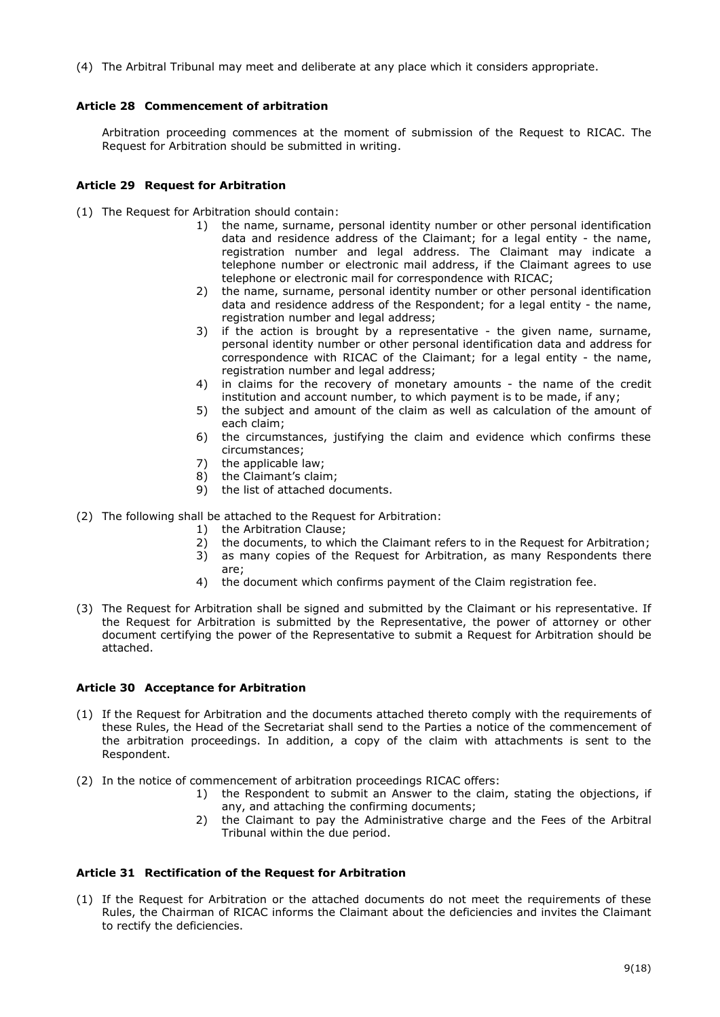(4) The Arbitral Tribunal may meet and deliberate at any place which it considers appropriate.

# <span id="page-8-0"></span>**Article 28 Commencement of arbitration**

Arbitration proceeding commences at the moment of submission of the Request to RICAC. The Request for Arbitration should be submitted in writing.

# <span id="page-8-1"></span>**Article 29 Request for Arbitration**

- (1) The Request for Arbitration should contain:
	- 1) the name, surname, personal identity number or other personal identification data and residence address of the Claimant; for a legal entity - the name, registration number and legal address. The Claimant may indicate a telephone number or electronic mail address, if the Claimant agrees to use telephone or electronic mail for correspondence with RICAC;
	- 2) the name, surname, personal identity number or other personal identification data and residence address of the Respondent; for a legal entity - the name, registration number and legal address;
	- 3) if the action is brought by a representative the given name, surname, personal identity number or other personal identification data and address for correspondence with RICAC of the Claimant; for a legal entity - the name, registration number and legal address;
	- 4) in claims for the recovery of monetary amounts the name of the credit institution and account number, to which payment is to be made, if any;
	- 5) the subject and amount of the claim as well as calculation of the amount of each claim;
	- 6) the circumstances, justifying the claim and evidence which confirms these circumstances;
	- 7) the applicable law;
	- 8) the Claimant's claim;
	- 9) the list of attached documents.
- (2) The following shall be attached to the Request for Arbitration:
	- 1) the Arbitration Clause;
	- 2) the documents, to which the Claimant refers to in the Request for Arbitration;
	- 3) as many copies of the Request for Arbitration, as many Respondents there are;
	- 4) the document which confirms payment of the Claim registration fee.
- (3) The Request for Arbitration shall be signed and submitted by the Claimant or his representative. If the Request for Arbitration is submitted by the Representative, the power of attorney or other document certifying the power of the Representative to submit a Request for Arbitration should be attached.

# <span id="page-8-2"></span>**Article 30 Acceptance for Arbitration**

- (1) If the Request for Arbitration and the documents attached thereto comply with the requirements of these Rules, the Head of the Secretariat shall send to the Parties a notice of the commencement of the arbitration proceedings. In addition, a copy of the claim with attachments is sent to the Respondent.
- (2) In the notice of commencement of arbitration proceedings RICAC offers:
	- 1) the Respondent to submit an Answer to the claim, stating the objections, if any, and attaching the confirming documents;
	- 2) the Claimant to pay the Administrative charge and the Fees of the Arbitral Tribunal within the due period.

# <span id="page-8-3"></span>**Article 31 Rectification of the Request for Arbitration**

(1) If the Request for Arbitration or the attached documents do not meet the requirements of these Rules, the Chairman of RICAC informs the Claimant about the deficiencies and invites the Claimant to rectify the deficiencies.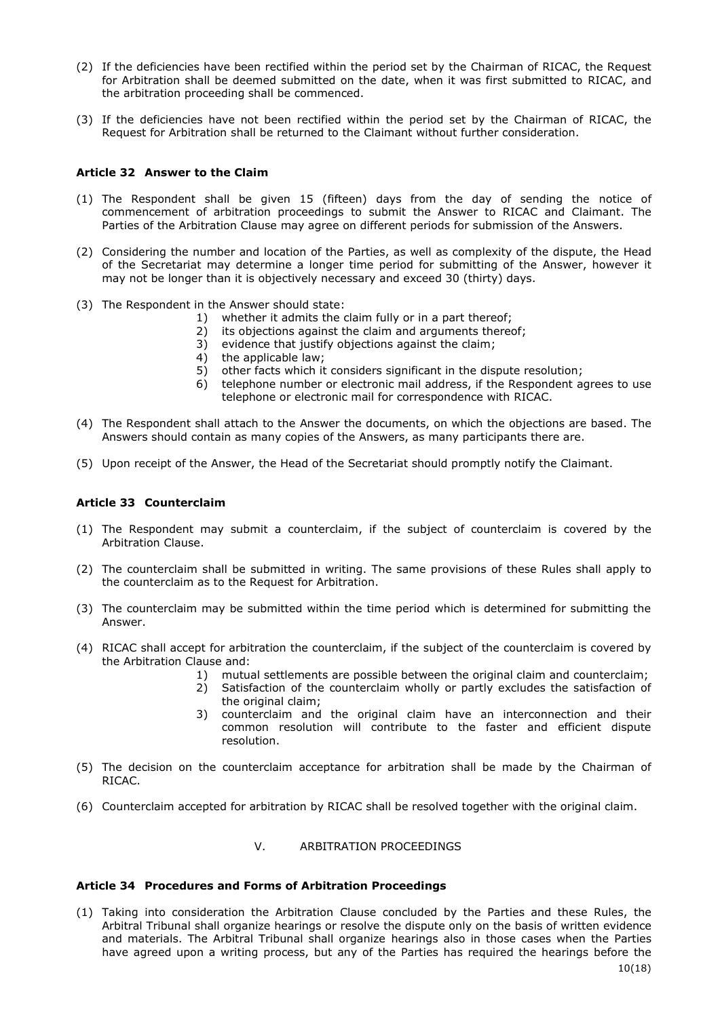- (2) If the deficiencies have been rectified within the period set by the Chairman of RICAC, the Request for Arbitration shall be deemed submitted on the date, when it was first submitted to RICAC, and the arbitration proceeding shall be commenced.
- (3) If the deficiencies have not been rectified within the period set by the Chairman of RICAC, the Request for Arbitration shall be returned to the Claimant without further consideration.

### <span id="page-9-0"></span>**Article 32 Answer to the Claim**

- (1) The Respondent shall be given 15 (fifteen) days from the day of sending the notice of commencement of arbitration proceedings to submit the Answer to RICAC and Claimant. The Parties of the Arbitration Clause may agree on different periods for submission of the Answers.
- (2) Considering the number and location of the Parties, as well as complexity of the dispute, the Head of the Secretariat may determine a longer time period for submitting of the Answer, however it may not be longer than it is objectively necessary and exceed 30 (thirty) days.
- (3) The Respondent in the Answer should state:
	- 1) whether it admits the claim fully or in a part thereof;
	- 2) its objections against the claim and arguments thereof;
	- 3) evidence that justify objections against the claim;
	- 4) the applicable law;
	- 5) other facts which it considers significant in the dispute resolution;
	- 6) telephone number or electronic mail address, if the Respondent agrees to use telephone or electronic mail for correspondence with RICAC.
- (4) The Respondent shall attach to the Answer the documents, on which the objections are based. The Answers should contain as many copies of the Answers, as many participants there are.
- (5) Upon receipt of the Answer, the Head of the Secretariat should promptly notify the Claimant.

### <span id="page-9-1"></span>**Article 33 Counterclaim**

- (1) The Respondent may submit a counterclaim, if the subject of counterclaim is covered by the Arbitration Clause.
- (2) The counterclaim shall be submitted in writing. The same provisions of these Rules shall apply to the counterclaim as to the Request for Arbitration.
- (3) The counterclaim may be submitted within the time period which is determined for submitting the Answer.
- (4) RICAC shall accept for arbitration the counterclaim, if the subject of the counterclaim is covered by the Arbitration Clause and:
	- 1) mutual settlements are possible between the original claim and counterclaim;
	- 2) Satisfaction of the counterclaim wholly or partly excludes the satisfaction of the original claim;
	- 3) counterclaim and the original claim have an interconnection and their common resolution will contribute to the faster and efficient dispute resolution.
- (5) The decision on the counterclaim acceptance for arbitration shall be made by the Chairman of RICAC.
- (6) Counterclaim accepted for arbitration by RICAC shall be resolved together with the original claim.

### V. ARBITRATION PROCEEDINGS

### <span id="page-9-3"></span><span id="page-9-2"></span>**Article 34 Procedures and Forms of Arbitration Proceedings**

(1) Taking into consideration the Arbitration Clause concluded by the Parties and these Rules, the Arbitral Tribunal shall organize hearings or resolve the dispute only on the basis of written evidence and materials. The Arbitral Tribunal shall organize hearings also in those cases when the Parties have agreed upon a writing process, but any of the Parties has required the hearings before the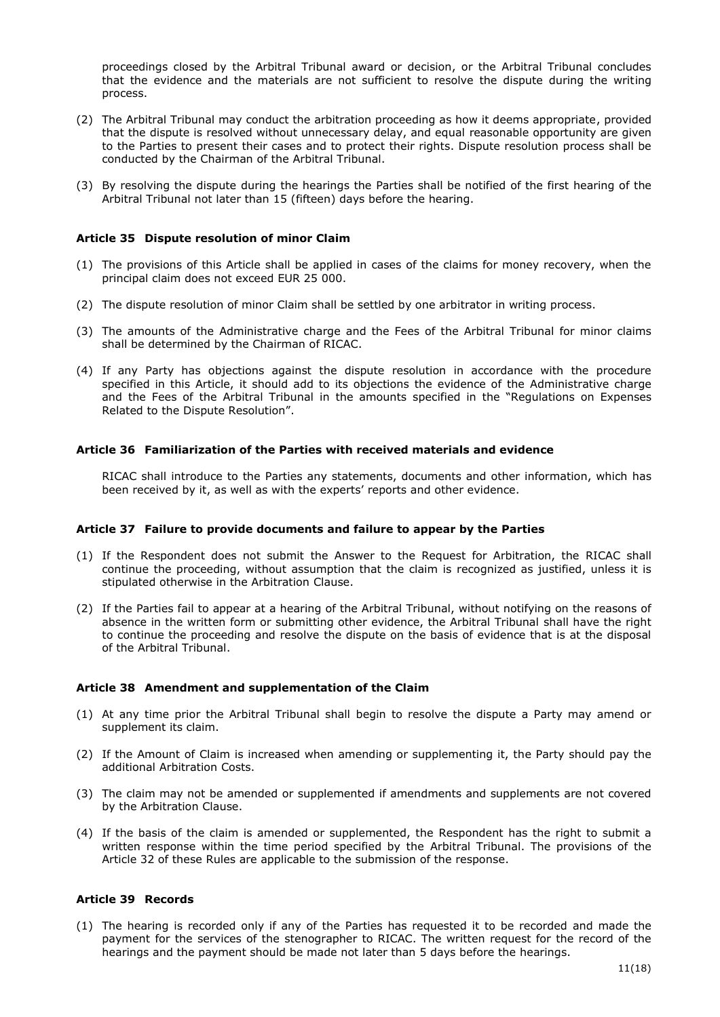proceedings closed by the Arbitral Tribunal award or decision, or the Arbitral Tribunal concludes that the evidence and the materials are not sufficient to resolve the dispute during the writing process.

- (2) The Arbitral Tribunal may conduct the arbitration proceeding as how it deems appropriate, provided that the dispute is resolved without unnecessary delay, and equal reasonable opportunity are given to the Parties to present their cases and to protect their rights. Dispute resolution process shall be conducted by the Chairman of the Arbitral Tribunal.
- (3) By resolving the dispute during the hearings the Parties shall be notified of the first hearing of the Arbitral Tribunal not later than 15 (fifteen) days before the hearing.

#### <span id="page-10-0"></span>**Article 35 Dispute resolution of minor Claim**

- (1) The provisions of this Article shall be applied in cases of the claims for money recovery, when the principal claim does not exceed EUR 25 000.
- (2) The dispute resolution of minor Claim shall be settled by one arbitrator in writing process.
- (3) The amounts of the Administrative charge and the Fees of the Arbitral Tribunal for minor claims shall be determined by the Chairman of RICAC.
- (4) If any Party has objections against the dispute resolution in accordance with the procedure specified in this Article, it should add to its objections the evidence of the Administrative charge and the Fees of the Arbitral Tribunal in the amounts specified in the "Regulations on Expenses Related to the Dispute Resolution".

#### <span id="page-10-1"></span>**Article 36 Familiarization of the Parties with received materials and evidence**

RICAC shall introduce to the Parties any statements, documents and other information, which has been received by it, as well as with the experts' reports and other evidence.

#### <span id="page-10-2"></span>**Article 37 Failure to provide documents and failure to appear by the Parties**

- (1) If the Respondent does not submit the Answer to the Request for Arbitration, the RICAC shall continue the proceeding, without assumption that the claim is recognized as justified, unless it is stipulated otherwise in the Arbitration Clause.
- (2) If the Parties fail to appear at a hearing of the Arbitral Tribunal, without notifying on the reasons of absence in the written form or submitting other evidence, the Arbitral Tribunal shall have the right to continue the proceeding and resolve the dispute on the basis of evidence that is at the disposal of the Arbitral Tribunal.

### <span id="page-10-3"></span>**Article 38 Amendment and supplementation of the Claim**

- (1) At any time prior the Arbitral Tribunal shall begin to resolve the dispute a Party may amend or supplement its claim.
- (2) If the Amount of Claim is increased when amending or supplementing it, the Party should pay the additional Arbitration Costs.
- (3) The claim may not be amended or supplemented if amendments and supplements are not covered by the Arbitration Clause.
- (4) If the basis of the claim is amended or supplemented, the Respondent has the right to submit a written response within the time period specified by the Arbitral Tribunal. The provisions of the Article 32 of these Rules are applicable to the submission of the response.

### <span id="page-10-4"></span>**Article 39 Records**

(1) The hearing is recorded only if any of the Parties has requested it to be recorded and made the payment for the services of the stenographer to RICAC. The written request for the record of the hearings and the payment should be made not later than 5 days before the hearings.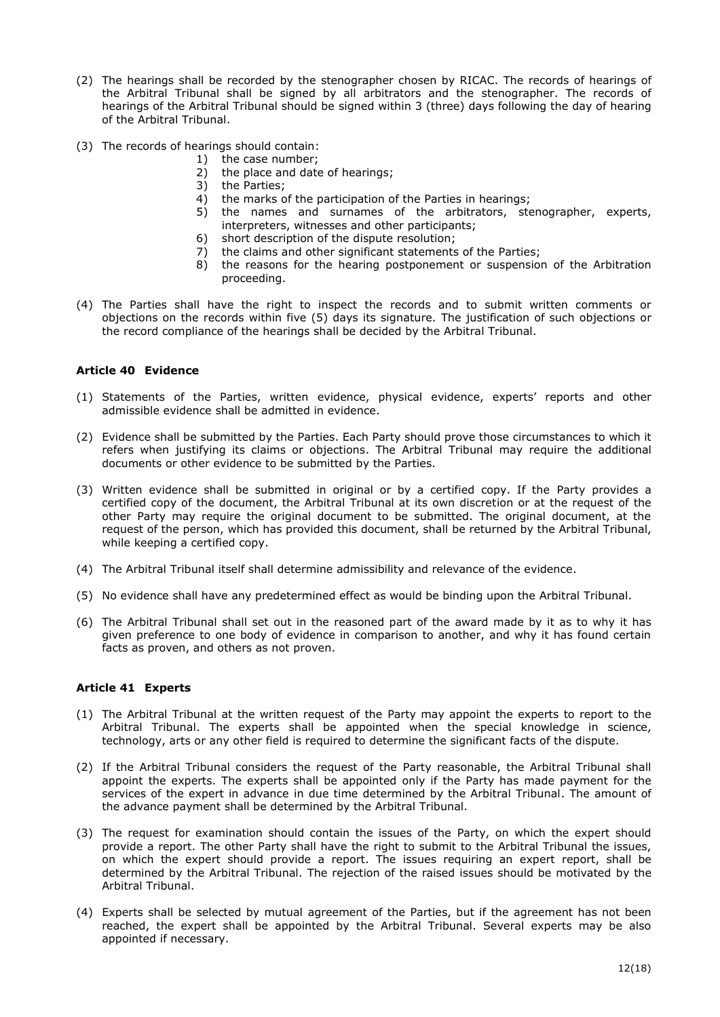- (2) The hearings shall be recorded by the stenographer chosen by RICAC. The records of hearings of the Arbitral Tribunal shall be signed by all arbitrators and the stenographer. The records of hearings of the Arbitral Tribunal should be signed within 3 (three) days following the day of hearing of the Arbitral Tribunal.
- (3) The records of hearings should contain:
	- 1) the case number;
		- 2) the place and date of hearings;
		- 3) the Parties;
		- 4) the marks of the participation of the Parties in hearings;
		- 5) the names and surnames of the arbitrators, stenographer, experts, interpreters, witnesses and other participants;
		- 6) short description of the dispute resolution;
		- 7) the claims and other significant statements of the Parties;
		- 8) the reasons for the hearing postponement or suspension of the Arbitration proceeding.
- (4) The Parties shall have the right to inspect the records and to submit written comments or objections on the records within five (5) days its signature. The justification of such objections or the record compliance of the hearings shall be decided by the Arbitral Tribunal.

### <span id="page-11-0"></span>**Article 40 Evidence**

- (1) Statements of the Parties, written evidence, physical evidence, experts' reports and other admissible evidence shall be admitted in evidence.
- (2) Evidence shall be submitted by the Parties. Each Party should prove those circumstances to which it refers when justifying its claims or objections. The Arbitral Tribunal may require the additional documents or other evidence to be submitted by the Parties.
- (3) Written evidence shall be submitted in original or by a certified copy. If the Party provides a certified copy of the document, the Arbitral Tribunal at its own discretion or at the request of the other Party may require the original document to be submitted. The original document, at the request of the person, which has provided this document, shall be returned by the Arbitral Tribunal, while keeping a certified copy.
- (4) The Arbitral Tribunal itself shall determine admissibility and relevance of the evidence.
- (5) No evidence shall have any predetermined effect as would be binding upon the Arbitral Tribunal.
- (6) The Arbitral Tribunal shall set out in the reasoned part of the award made by it as to why it has given preference to one body of evidence in comparison to another, and why it has found certain facts as proven, and others as not proven.

### <span id="page-11-1"></span>**Article 41 Experts**

- (1) The Arbitral Tribunal at the written request of the Party may appoint the experts to report to the Arbitral Tribunal. The experts shall be appointed when the special knowledge in science, technology, arts or any other field is required to determine the significant facts of the dispute.
- (2) If the Arbitral Tribunal considers the request of the Party reasonable, the Arbitral Tribunal shall appoint the experts. The experts shall be appointed only if the Party has made payment for the services of the expert in advance in due time determined by the Arbitral Tribunal. The amount of the advance payment shall be determined by the Arbitral Tribunal.
- (3) The request for examination should contain the issues of the Party, on which the expert should provide a report. The other Party shall have the right to submit to the Arbitral Tribunal the issues, on which the expert should provide a report. The issues requiring an expert report, shall be determined by the Arbitral Tribunal. The rejection of the raised issues should be motivated by the Arbitral Tribunal.
- (4) Experts shall be selected by mutual agreement of the Parties, but if the agreement has not been reached, the expert shall be appointed by the Arbitral Tribunal. Several experts may be also appointed if necessary.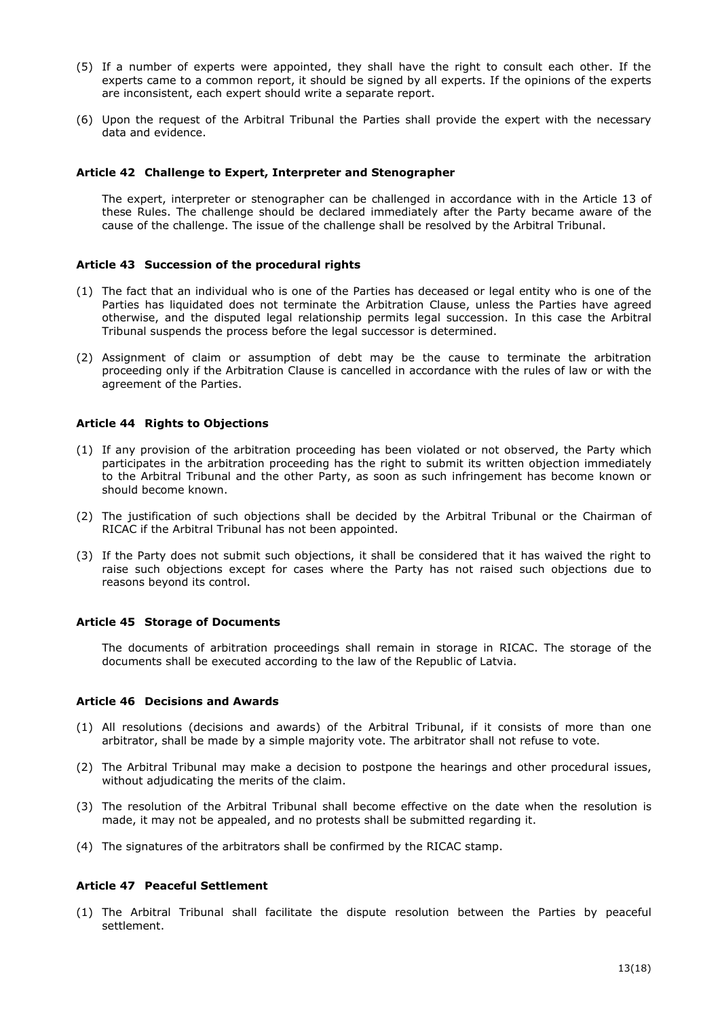- (5) If a number of experts were appointed, they shall have the right to consult each other. If the experts came to a common report, it should be signed by all experts. If the opinions of the experts are inconsistent, each expert should write a separate report.
- (6) Upon the request of the Arbitral Tribunal the Parties shall provide the expert with the necessary data and evidence.

#### <span id="page-12-0"></span>**Article 42 Challenge to Expert, Interpreter and Stenographer**

The expert, interpreter or stenographer can be challenged in accordance with in the Article 13 of these Rules. The challenge should be declared immediately after the Party became aware of the cause of the challenge. The issue of the challenge shall be resolved by the Arbitral Tribunal.

### <span id="page-12-1"></span>**Article 43 Succession of the procedural rights**

- (1) The fact that an individual who is one of the Parties has deceased or legal entity who is one of the Parties has liquidated does not terminate the Arbitration Clause, unless the Parties have agreed otherwise, and the disputed legal relationship permits legal succession. In this case the Arbitral Tribunal suspends the process before the legal successor is determined.
- (2) Assignment of claim or assumption of debt may be the cause to terminate the arbitration proceeding only if the Arbitration Clause is cancelled in accordance with the rules of law or with the agreement of the Parties.

#### <span id="page-12-2"></span>**Article 44 Rights to Objections**

- (1) If any provision of the arbitration proceeding has been violated or not observed, the Party which participates in the arbitration proceeding has the right to submit its written objection immediately to the Arbitral Tribunal and the other Party, as soon as such infringement has become known or should become known.
- (2) The justification of such objections shall be decided by the Arbitral Tribunal or the Chairman of RICAC if the Arbitral Tribunal has not been appointed.
- (3) If the Party does not submit such objections, it shall be considered that it has waived the right to raise such objections except for cases where the Party has not raised such objections due to reasons beyond its control.

### <span id="page-12-3"></span>**Article 45 Storage of Documents**

The documents of arbitration proceedings shall remain in storage in RICAC. The storage of the documents shall be executed according to the law of the Republic of Latvia.

#### <span id="page-12-4"></span>**Article 46 Decisions and Awards**

- (1) All resolutions (decisions and awards) of the Arbitral Tribunal, if it consists of more than one arbitrator, shall be made by a simple majority vote. The arbitrator shall not refuse to vote.
- (2) The Arbitral Tribunal may make a decision to postpone the hearings and other procedural issues, without adjudicating the merits of the claim.
- (3) The resolution of the Arbitral Tribunal shall become effective on the date when the resolution is made, it may not be appealed, and no protests shall be submitted regarding it.
- (4) The signatures of the arbitrators shall be confirmed by the RICAC stamp.

### <span id="page-12-5"></span>**Article 47 Peaceful Settlement**

(1) The Arbitral Tribunal shall facilitate the dispute resolution between the Parties by peaceful settlement.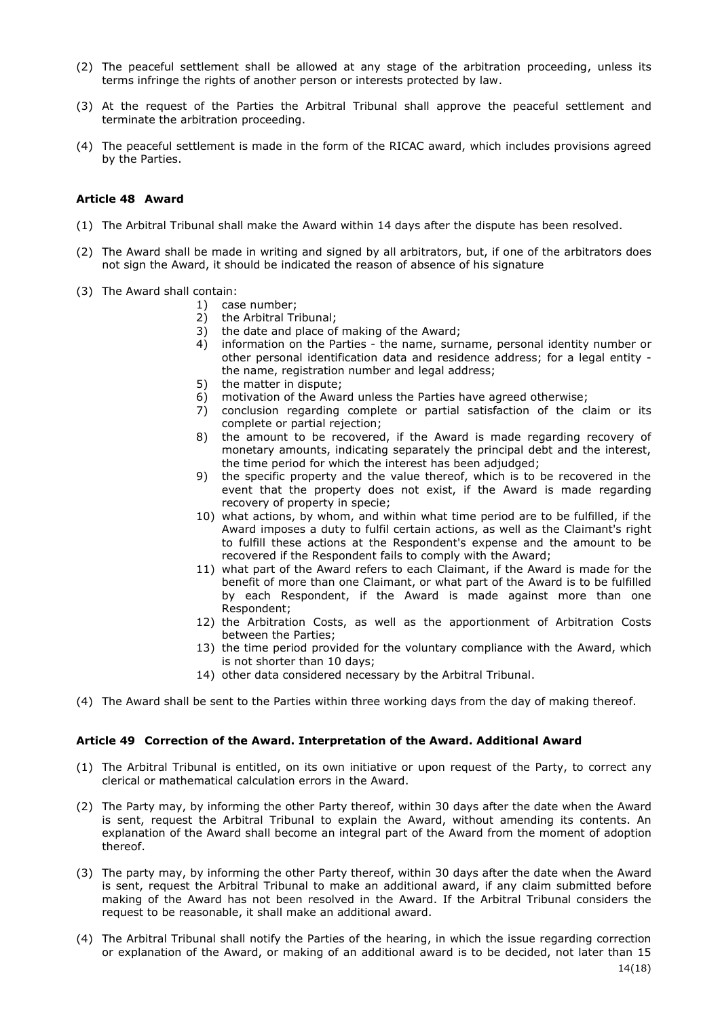- (2) The peaceful settlement shall be allowed at any stage of the arbitration proceeding, unless its terms infringe the rights of another person or interests protected by law.
- (3) At the request of the Parties the Arbitral Tribunal shall approve the peaceful settlement and terminate the arbitration proceeding.
- (4) The peaceful settlement is made in the form of the RICAC award, which includes provisions agreed by the Parties.

#### <span id="page-13-0"></span>**Article 48 Award**

- (1) The Arbitral Tribunal shall make the Award within 14 days after the dispute has been resolved.
- (2) The Award shall be made in writing and signed by all arbitrators, but, if one of the arbitrators does not sign the Award, it should be indicated the reason of absence of his signature
- (3) The Award shall contain:
	- 1) case number;
	- 2) the Arbitral Tribunal;
	- 3) the date and place of making of the Award;
	- 4) information on the Parties the name, surname, personal identity number or other personal identification data and residence address; for a legal entity the name, registration number and legal address;
	- 5) the matter in dispute;
	- 6) motivation of the Award unless the Parties have agreed otherwise;
	- 7) conclusion regarding complete or partial satisfaction of the claim or its complete or partial rejection;
	- 8) the amount to be recovered, if the Award is made regarding recovery of monetary amounts, indicating separately the principal debt and the interest, the time period for which the interest has been adjudged;
	- 9) the specific property and the value thereof, which is to be recovered in the event that the property does not exist, if the Award is made regarding recovery of property in specie;
	- 10) what actions, by whom, and within what time period are to be fulfilled, if the Award imposes a duty to fulfil certain actions, as well as the Claimant's right to fulfill these actions at the Respondent's expense and the amount to be recovered if the Respondent fails to comply with the Award;
	- 11) what part of the Award refers to each Claimant, if the Award is made for the benefit of more than one Claimant, or what part of the Award is to be fulfilled by each Respondent, if the Award is made against more than one Respondent;
	- 12) the Arbitration Costs, as well as the apportionment of Arbitration Costs between the Parties;
	- 13) the time period provided for the voluntary compliance with the Award, which is not shorter than 10 days;
	- 14) other data considered necessary by the Arbitral Tribunal.
- (4) The Award shall be sent to the Parties within three working days from the day of making thereof.

#### <span id="page-13-1"></span>**Article 49 Correction of the Award. Interpretation of the Award. Additional Award**

- (1) The Arbitral Tribunal is entitled, on its own initiative or upon request of the Party, to correct any clerical or mathematical calculation errors in the Award.
- (2) The Party may, by informing the other Party thereof, within 30 days after the date when the Award is sent, request the Arbitral Tribunal to explain the Award, without amending its contents. An explanation of the Award shall become an integral part of the Award from the moment of adoption thereof.
- (3) The party may, by informing the other Party thereof, within 30 days after the date when the Award is sent, request the Arbitral Tribunal to make an additional award, if any claim submitted before making of the Award has not been resolved in the Award. If the Arbitral Tribunal considers the request to be reasonable, it shall make an additional award.
- (4) The Arbitral Tribunal shall notify the Parties of the hearing, in which the issue regarding correction or explanation of the Award, or making of an additional award is to be decided, not later than 15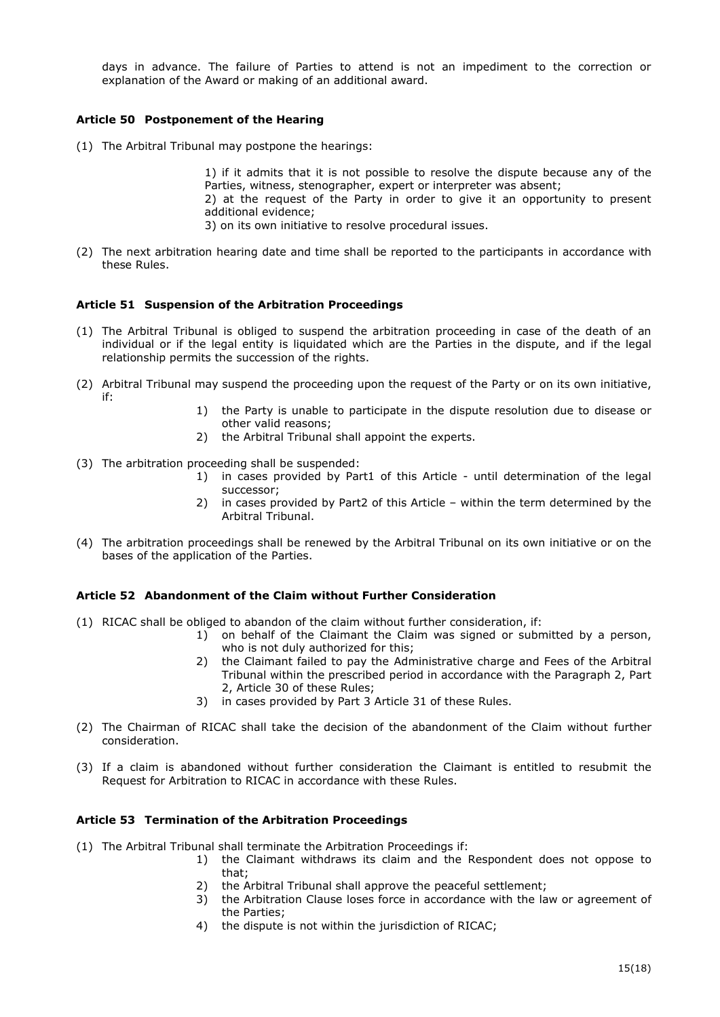days in advance. The failure of Parties to attend is not an impediment to the correction or explanation of the Award or making of an additional award.

## <span id="page-14-0"></span>**Article 50 Postponement of the Hearing**

(1) The Arbitral Tribunal may postpone the hearings:

1) if it admits that it is not possible to resolve the dispute because any of the Parties, witness, stenographer, expert or interpreter was absent;

2) at the request of the Party in order to give it an opportunity to present additional evidence;

3) on its own initiative to resolve procedural issues.

(2) The next arbitration hearing date and time shall be reported to the participants in accordance with these Rules.

### <span id="page-14-1"></span>**Article 51 Suspension of the Arbitration Proceedings**

- (1) The Arbitral Tribunal is obliged to suspend the arbitration proceeding in case of the death of an individual or if the legal entity is liquidated which are the Parties in the dispute, and if the legal relationship permits the succession of the rights.
- (2) Arbitral Tribunal may suspend the proceeding upon the request of the Party or on its own initiative, if:
	- 1) the Party is unable to participate in the dispute resolution due to disease or other valid reasons;
	- 2) the Arbitral Tribunal shall appoint the experts.
- (3) The arbitration proceeding shall be suspended:
	- 1) in cases provided by Part1 of this Article until determination of the legal successor;
	- 2) in cases provided by Part2 of this Article within the term determined by the Arbitral Tribunal.
- (4) The arbitration proceedings shall be renewed by the Arbitral Tribunal on its own initiative or on the bases of the application of the Parties.

### <span id="page-14-2"></span>**Article 52 Abandonment of the Claim without Further Consideration**

- (1) RICAC shall be obliged to abandon of the claim without further consideration, if:
	- 1) on behalf of the Claimant the Claim was signed or submitted by a person, who is not duly authorized for this;
	- 2) the Claimant failed to pay the Administrative charge and Fees of the Arbitral Tribunal within the prescribed period in accordance with the Paragraph 2, Part 2, Article 30 of these Rules;
	- 3) in cases provided by Part 3 Article 31 of these Rules.
- (2) The Chairman of RICAC shall take the decision of the abandonment of the Claim without further consideration.
- (3) If a claim is abandoned without further consideration the Claimant is entitled to resubmit the Request for Arbitration to RICAC in accordance with these Rules.

#### <span id="page-14-3"></span>**Article 53 Termination of the Arbitration Proceedings**

- (1) The Arbitral Tribunal shall terminate the Arbitration Proceedings if:
	- 1) the Claimant withdraws its claim and the Respondent does not oppose to that;
		- 2) the Arbitral Tribunal shall approve the peaceful settlement;
		- 3) the Arbitration Clause loses force in accordance with the law or agreement of the Parties;
		- 4) the dispute is not within the jurisdiction of RICAC;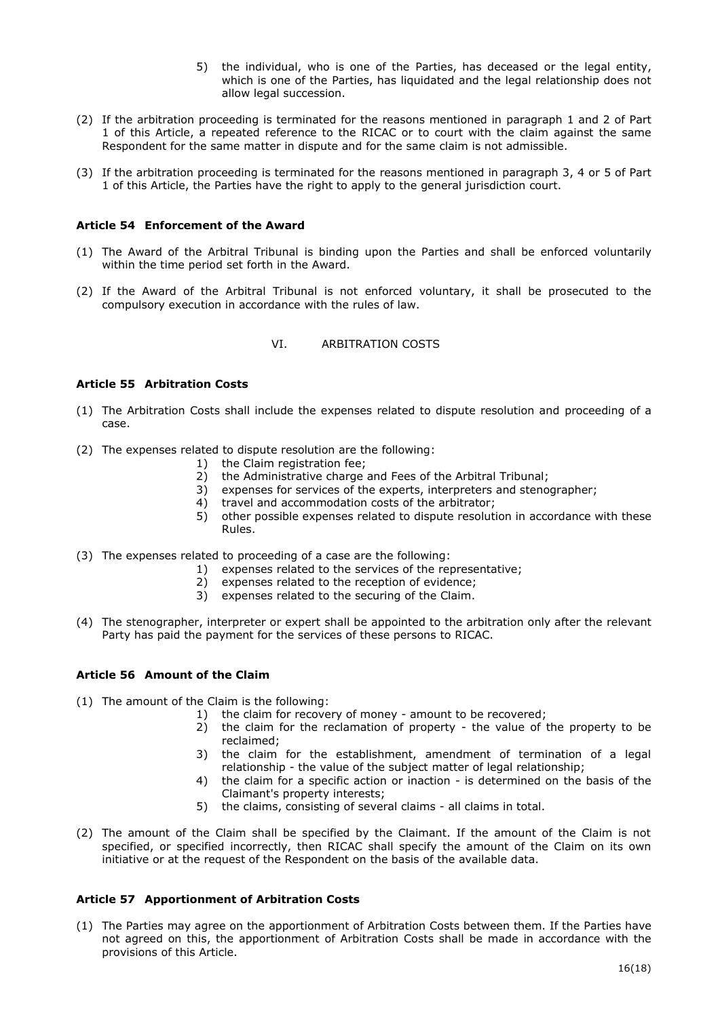- 5) the individual, who is one of the Parties, has deceased or the legal entity, which is one of the Parties, has liquidated and the legal relationship does not allow legal succession.
- (2) If the arbitration proceeding is terminated for the reasons mentioned in paragraph 1 and 2 of Part 1 of this Article, a repeated reference to the RICAC or to court with the claim against the same Respondent for the same matter in dispute and for the same claim is not admissible.
- (3) If the arbitration proceeding is terminated for the reasons mentioned in paragraph 3, 4 or 5 of Part 1 of this Article, the Parties have the right to apply to the general jurisdiction court.

### <span id="page-15-0"></span>**Article 54 Enforcement of the Award**

- (1) The Award of the Arbitral Tribunal is binding upon the Parties and shall be enforced voluntarily within the time period set forth in the Award.
- (2) If the Award of the Arbitral Tribunal is not enforced voluntary, it shall be prosecuted to the compulsory execution in accordance with the rules of law.

### VI. ARBITRATION COSTS

## <span id="page-15-2"></span><span id="page-15-1"></span>**Article 55 Arbitration Costs**

- (1) The Arbitration Costs shall include the expenses related to dispute resolution and proceeding of a case.
- (2) The expenses related to dispute resolution are the following:
	- 1) the Claim registration fee;
	- 2) the Administrative charge and Fees of the Arbitral Tribunal;
	- 3) expenses for services of the experts, interpreters and stenographer;
	- 4) travel and accommodation costs of the arbitrator;
	- 5) other possible expenses related to dispute resolution in accordance with these Rules.
- (3) The expenses related to proceeding of a case are the following:
	- 1) expenses related to the services of the representative;
	- 2) expenses related to the reception of evidence;
	- 3) expenses related to the securing of the Claim.
- (4) The stenographer, interpreter or expert shall be appointed to the arbitration only after the relevant Party has paid the payment for the services of these persons to RICAC.

# <span id="page-15-3"></span>**Article 56 Amount of the Claim**

- (1) The amount of the Claim is the following:
	- 1) the claim for recovery of money amount to be recovered;
		- 2) the claim for the reclamation of property the value of the property to be reclaimed;
		- 3) the claim for the establishment, amendment of termination of a legal relationship - the value of the subject matter of legal relationship;
		- 4) the claim for a specific action or inaction is determined on the basis of the Claimant's property interests;
		- 5) the claims, consisting of several claims all claims in total.
- (2) The amount of the Claim shall be specified by the Claimant. If the amount of the Claim is not specified, or specified incorrectly, then RICAC shall specify the amount of the Claim on its own initiative or at the request of the Respondent on the basis of the available data.

# <span id="page-15-4"></span>**Article 57 Apportionment of Arbitration Costs**

(1) The Parties may agree on the apportionment of Arbitration Costs between them. If the Parties have not agreed on this, the apportionment of Arbitration Costs shall be made in accordance with the provisions of this Article.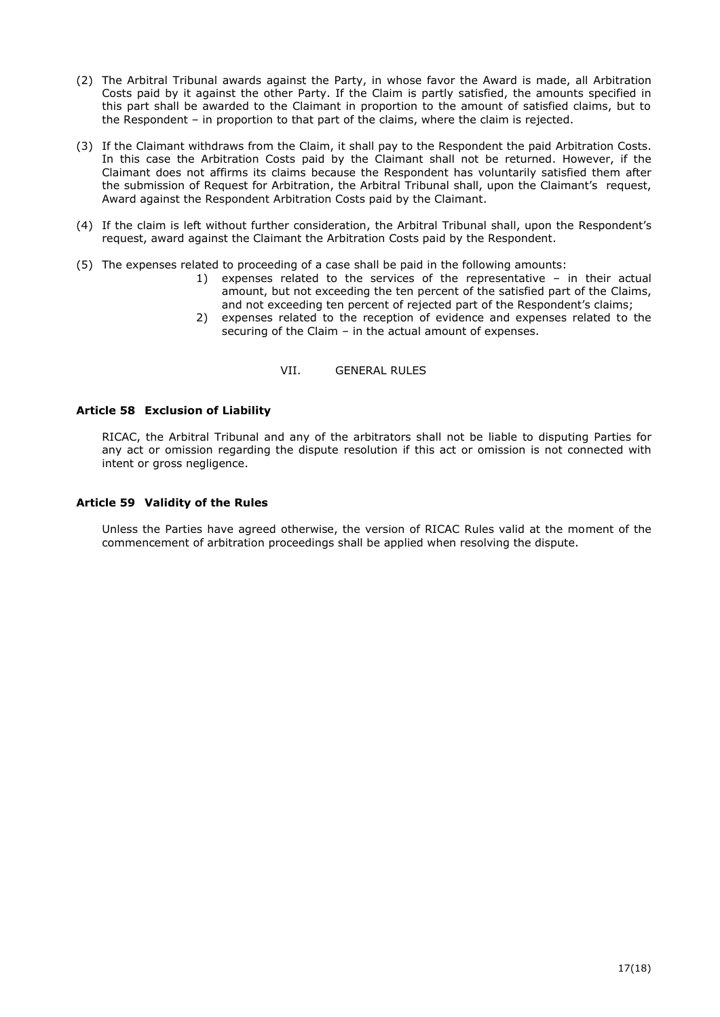- (2) The Arbitral Tribunal awards against the Party, in whose favor the Award is made, all Arbitration Costs paid by it against the other Party. If the Claim is partly satisfied, the amounts specified in this part shall be awarded to the Claimant in proportion to the amount of satisfied claims, but to the Respondent – in proportion to that part of the claims, where the claim is rejected.
- (3) If the Claimant withdraws from the Claim, it shall pay to the Respondent the paid Arbitration Costs. In this case the Arbitration Costs paid by the Claimant shall not be returned. However, if the Claimant does not affirms its claims because the Respondent has voluntarily satisfied them after the submission of Request for Arbitration, the Arbitral Tribunal shall, upon the Claimant's request, Award against the Respondent Arbitration Costs paid by the Claimant.
- (4) If the claim is left without further consideration, the Arbitral Tribunal shall, upon the Respondent's request, award against the Claimant the Arbitration Costs paid by the Respondent.
- (5) The expenses related to proceeding of a case shall be paid in the following amounts:
	- 1) expenses related to the services of the representative in their actual amount, but not exceeding the ten percent of the satisfied part of the Claims, and not exceeding ten percent of rejected part of the Respondent's claims;
	- 2) expenses related to the reception of evidence and expenses related to the securing of the Claim – in the actual amount of expenses.
		- VII. GENERAL RULES

### <span id="page-16-1"></span><span id="page-16-0"></span>**Article 58 Exclusion of Liability**

RICAC, the Arbitral Tribunal and any of the arbitrators shall not be liable to disputing Parties for any act or omission regarding the dispute resolution if this act or omission is not connected with intent or gross negligence.

#### <span id="page-16-2"></span>**Article 59 Validity of the Rules**

Unless the Parties have agreed otherwise, the version of RICAC Rules valid at the moment of the commencement of arbitration proceedings shall be applied when resolving the dispute.